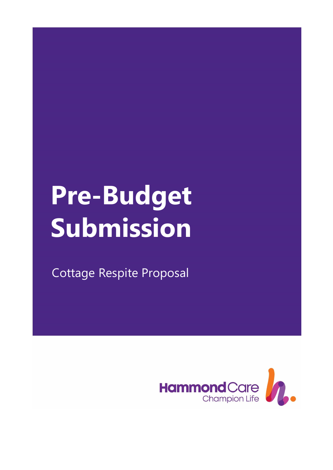# **Pre-Budget Submission**

Cottage Respite Proposal

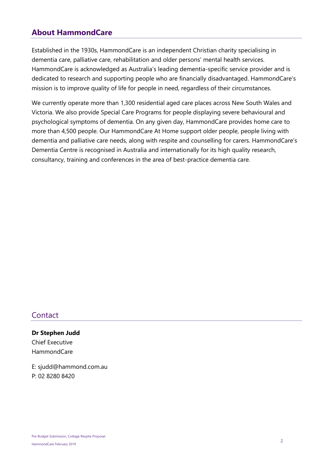#### **About HammondCare**

Established in the 1930s, HammondCare is an independent Christian charity specialising in dementia care, palliative care, rehabilitation and older persons' mental health services. HammondCare is acknowledged as Australia's leading dementia-specific service provider and is dedicated to research and supporting people who are financially disadvantaged. HammondCare's mission is to improve quality of life for people in need, regardless of their circumstances.

We currently operate more than 1,300 residential aged care places across New South Wales and Victoria. We also provide Special Care Programs for people displaying severe behavioural and psychological symptoms of dementia. On any given day, HammondCare provides home care to more than 4,500 people. Our HammondCare At Home support older people, people living with dementia and palliative care needs, along with respite and counselling for carers. HammondCare's Dementia Centre is recognised in Australia and internationally for its high quality research, consultancy, training and conferences in the area of best-practice dementia care.

#### **Contact**

**Dr Stephen Judd** Chief Executive HammondCare

E: sjudd@hammond.com.au P: 02 8280 8420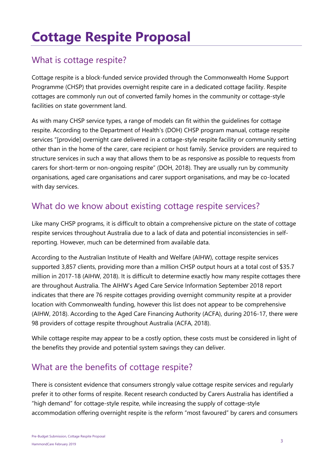## **Cottage Respite Proposal**

## What is cottage respite?

Cottage respite is a block-funded service provided through the Commonwealth Home Support Programme (CHSP) that provides overnight respite care in a dedicated cottage facility. Respite cottages are commonly run out of converted family homes in the community or cottage-style facilities on state government land.

As with many CHSP service types, a range of models can fit within the guidelines for cottage respite. According to the Department of Health's (DOH) CHSP program manual, cottage respite services "[provide] overnight care delivered in a cottage-style respite facility or community setting other than in the home of the carer, care recipient or host family. Service providers are required to structure services in such a way that allows them to be as responsive as possible to requests from carers for short-term or non-ongoing respite" (DOH, 2018). They are usually run by community organisations, aged care organisations and carer support organisations, and may be co-located with day services.

## What do we know about existing cottage respite services?

Like many CHSP programs, it is difficult to obtain a comprehensive picture on the state of cottage respite services throughout Australia due to a lack of data and potential inconsistencies in selfreporting. However, much can be determined from available data.

According to the Australian Institute of Health and Welfare (AIHW), cottage respite services supported 3,857 clients, providing more than a million CHSP output hours at a total cost of \$35.7 million in 2017-18 (AIHW, 2018). It is difficult to determine exactly how many respite cottages there are throughout Australia. The AIHW's Aged Care Service Information September 2018 report indicates that there are 76 respite cottages providing overnight community respite at a provider location with Commonwealth funding, however this list does not appear to be comprehensive (AIHW, 2018). According to the Aged Care Financing Authority (ACFA), during 2016-17, there were 98 providers of cottage respite throughout Australia (ACFA, 2018).

While cottage respite may appear to be a costly option, these costs must be considered in light of the benefits they provide and potential system savings they can deliver.

## What are the benefits of cottage respite?

There is consistent evidence that consumers strongly value cottage respite services and regularly prefer it to other forms of respite. Recent research conducted by Carers Australia has identified a "high demand" for cottage-style respite, while increasing the supply of cottage-style accommodation offering overnight respite is the reform "most favoured" by carers and consumers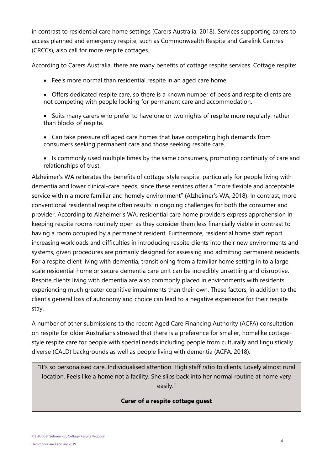in contrast to residential care home settings (Carers Australia, 2018). Services supporting carers to access planned and emergency respite, such as Commonwealth Respite and Carelink Centres (CRCCs), also call for more respite cottages.

According to Carers Australia, there are many benefits of cottage respite services. Cottage respite:

- Feels more normal than residential respite in an aged care home.
- Offers dedicated respite care, so there is a known number of beds and respite clients are not competing with people looking for permanent care and accommodation.
- Suits many carers who prefer to have one or two nights of respite more regularly, rather than blocks of respite.
- Can take pressure off aged care homes that have competing high demands from consumers seeking permanent care and those seeking respite care.
- Is commonly used multiple times by the same consumers, promoting continuity of care and relationships of trust.

Alzheimer's WA reiterates the benefits of cottage-style respite, particularly for people living with dementia and lower clinical-care needs, since these services offer a "more flexible and acceptable service within a more familiar and homely environment" (Alzheimer's WA, 2018). In contrast, more conventional residential respite often results in ongoing challenges for both the consumer and provider. According to Alzheimer's WA, residential care home providers express apprehension in keeping respite rooms routinely open as they consider them less financially viable in contrast to having a room occupied by a permanent resident. Furthermore, residential home staff report increasing workloads and difficulties in introducing respite clients into their new environments and systems, given procedures are primarily designed for assessing and admitting permanent residents. For a respite client living with dementia, transitioning from a familiar home setting in to a large scale residential home or secure dementia care unit can be incredibly unsettling and disruptive. Respite clients living with dementia are also commonly placed in environments with residents experiencing much greater cognitive impairments than their own. These factors, in addition to the client's general loss of autonomy and choice can lead to a negative experience for their respite stay.

A number of other submissions to the recent Aged Care Financing Authority (ACFA) consultation on respite for older Australians stressed that there is a preference for smaller, homelike cottagestyle respite care for people with special needs including people from culturally and linguistically diverse (CALD) backgrounds as well as people living with dementia (ACFA, 2018).

"It's so personalised care. Individualised attention. High staff ratio to clients. Lovely almost rural location. Feels like a home not a facility. She slips back into her normal routine at home very easily."

#### **Carer of a respite cottage guest**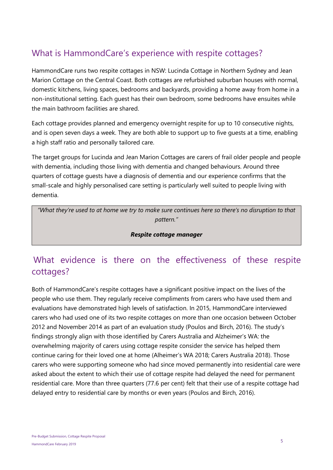## What is HammondCare's experience with respite cottages?

HammondCare runs two respite cottages in NSW: Lucinda Cottage in Northern Sydney and Jean Marion Cottage on the Central Coast. Both cottages are refurbished suburban houses with normal, domestic kitchens, living spaces, bedrooms and backyards, providing a home away from home in a non-institutional setting. Each guest has their own bedroom, some bedrooms have ensuites while the main bathroom facilities are shared.

Each cottage provides planned and emergency overnight respite for up to 10 consecutive nights, and is open seven days a week. They are both able to support up to five guests at a time, enabling a high staff ratio and personally tailored care.

The target groups for Lucinda and Jean Marion Cottages are carers of frail older people and people with dementia, including those living with dementia and changed behaviours. Around three quarters of cottage guests have a diagnosis of dementia and our experience confirms that the small-scale and highly personalised care setting is particularly well suited to people living with dementia.

*"What they're used to at home we try to make sure continues here so there's no disruption to that pattern."*

#### *Respite cottage manager*

## What evidence is there on the effectiveness of these respite cottages?

Both of HammondCare's respite cottages have a significant positive impact on the lives of the people who use them. They regularly receive compliments from carers who have used them and evaluations have demonstrated high levels of satisfaction. In 2015, HammondCare interviewed carers who had used one of its two respite cottages on more than one occasion between October 2012 and November 2014 as part of an evaluation study (Poulos and Birch, 2016). The study's findings strongly align with those identified by Carers Australia and Alzheimer's WA: the overwhelming majority of carers using cottage respite consider the service has helped them continue caring for their loved one at home (Alheimer's WA 2018; Carers Australia 2018). Those carers who were supporting someone who had since moved permanently into residential care were asked about the extent to which their use of cottage respite had delayed the need for permanent residential care. More than three quarters (77.6 per cent) felt that their use of a respite cottage had delayed entry to residential care by months or even years (Poulos and Birch, 2016).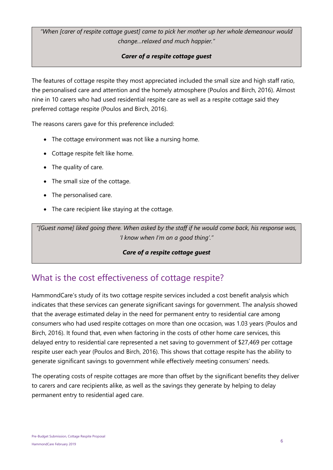*"When [carer of respite cottage guest] came to pick her mother up her whole demeanour would change…relaxed and much happier."*

#### *Carer of a respite cottage guest*

The features of cottage respite they most appreciated included the small size and high staff ratio, the personalised care and attention and the homely atmosphere (Poulos and Birch, 2016). Almost nine in 10 carers who had used residential respite care as well as a respite cottage said they preferred cottage respite (Poulos and Birch, 2016).

The reasons carers gave for this preference included:

- The cottage environment was not like a nursing home.
- Cottage respite felt like home.
- The quality of care.
- The small size of the cottage.
- The personalised care.
- The care recipient like staying at the cottage.

*"[Guest name] liked going there. When asked by the staff if he would come back, his response was, 'I know when I'm on a good thing'."*

#### *Care of a respite cottage guest*

## What is the cost effectiveness of cottage respite?

HammondCare's study of its two cottage respite services included a cost benefit analysis which indicates that these services can generate significant savings for government. The analysis showed that the average estimated delay in the need for permanent entry to residential care among consumers who had used respite cottages on more than one occasion, was 1.03 years (Poulos and Birch, 2016). It found that, even when factoring in the costs of other home care services, this delayed entry to residential care represented a net saving to government of \$27,469 per cottage respite user each year (Poulos and Birch, 2016). This shows that cottage respite has the ability to generate significant savings to government while effectively meeting consumers' needs.

The operating costs of respite cottages are more than offset by the significant benefits they deliver to carers and care recipients alike, as well as the savings they generate by helping to delay permanent entry to residential aged care.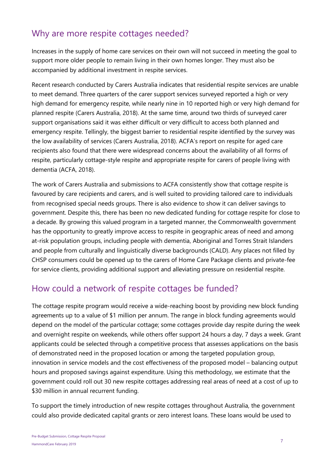## Why are more respite cottages needed?

Increases in the supply of home care services on their own will not succeed in meeting the goal to support more older people to remain living in their own homes longer. They must also be accompanied by additional investment in respite services.

Recent research conducted by Carers Australia indicates that residential respite services are unable to meet demand. Three quarters of the carer support services surveyed reported a high or very high demand for emergency respite, while nearly nine in 10 reported high or very high demand for planned respite (Carers Australia, 2018). At the same time, around two thirds of surveyed carer support organisations said it was either difficult or very difficult to access both planned and emergency respite. Tellingly, the biggest barrier to residential respite identified by the survey was the low availability of services (Carers Australia, 2018). ACFA's report on respite for aged care recipients also found that there were widespread concerns about the availability of all forms of respite, particularly cottage-style respite and appropriate respite for carers of people living with dementia (ACFA, 2018).

The work of Carers Australia and submissions to ACFA consistently show that cottage respite is favoured by care recipients and carers, and is well suited to providing tailored care to individuals from recognised special needs groups. There is also evidence to show it can deliver savings to government. Despite this, there has been no new dedicated funding for cottage respite for close to a decade. By growing this valued program in a targeted manner, the Commonwealth government has the opportunity to greatly improve access to respite in geographic areas of need and among at-risk population groups, including people with dementia, Aboriginal and Torres Strait Islanders and people from culturally and linguistically diverse backgrounds (CALD). Any places not filled by CHSP consumers could be opened up to the carers of Home Care Package clients and private-fee for service clients, providing additional support and alleviating pressure on residential respite.

## How could a network of respite cottages be funded?

The cottage respite program would receive a wide-reaching boost by providing new block funding agreements up to a value of \$1 million per annum. The range in block funding agreements would depend on the model of the particular cottage; some cottages provide day respite during the week and overnight respite on weekends, while others offer support 24 hours a day, 7 days a week. Grant applicants could be selected through a competitive process that assesses applications on the basis of demonstrated need in the proposed location or among the targeted population group, innovation in service models and the cost effectiveness of the proposed model – balancing output hours and proposed savings against expenditure. Using this methodology, we estimate that the government could roll out 30 new respite cottages addressing real areas of need at a cost of up to \$30 million in annual recurrent funding.

To support the timely introduction of new respite cottages throughout Australia, the government could also provide dedicated capital grants or zero interest loans. These loans would be used to